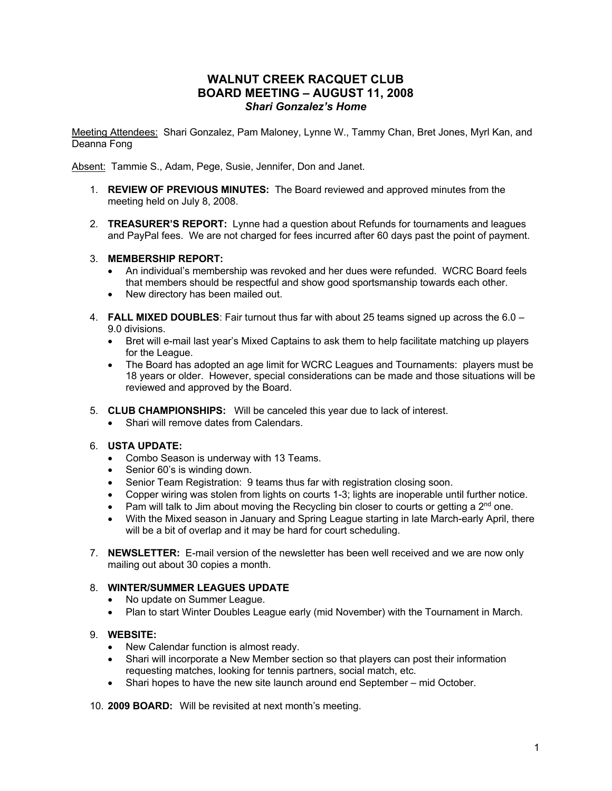# **WALNUT CREEK RACQUET CLUB BOARD MEETING – AUGUST 11, 2008** *Shari Gonzalez's Home*

Meeting Attendees: Shari Gonzalez, Pam Maloney, Lynne W., Tammy Chan, Bret Jones, Myrl Kan, and Deanna Fong

Absent: Tammie S., Adam, Pege, Susie, Jennifer, Don and Janet.

- 1. **REVIEW OF PREVIOUS MINUTES:**The Board reviewed and approved minutes from the meeting held on July 8, 2008.
- 2. **TREASURER'S REPORT:** Lynne had a question about Refunds for tournaments and leagues and PayPal fees. We are not charged for fees incurred after 60 days past the point of payment.

#### 3. **MEMBERSHIP REPORT:**

- An individual's membership was revoked and her dues were refunded. WCRC Board feels that members should be respectful and show good sportsmanship towards each other.
- New directory has been mailed out.
- 4. **FALL MIXED DOUBLES**: Fair turnout thus far with about 25 teams signed up across the 6.0 9.0 divisions.
	- Bret will e-mail last year's Mixed Captains to ask them to help facilitate matching up players for the League.
	- The Board has adopted an age limit for WCRC Leagues and Tournaments: players must be 18 years or older. However, special considerations can be made and those situations will be reviewed and approved by the Board.
- 5. **CLUB CHAMPIONSHIPS:** Will be canceled this year due to lack of interest.
	- Shari will remove dates from Calendars.

#### 6. **USTA UPDATE:**

- Combo Season is underway with 13 Teams.
- Senior 60's is winding down.
- Senior Team Registration: 9 teams thus far with registration closing soon.
- Copper wiring was stolen from lights on courts 1-3; lights are inoperable until further notice.
- Pam will talk to Jim about moving the Recycling bin closer to courts or getting a  $2<sup>nd</sup>$  one.
- With the Mixed season in January and Spring League starting in late March-early April, there will be a bit of overlap and it may be hard for court scheduling.
- 7. **NEWSLETTER:** E-mail version of the newsletter has been well received and we are now only mailing out about 30 copies a month.

#### 8. **WINTER/SUMMER LEAGUES UPDATE**

- No update on Summer League.
- Plan to start Winter Doubles League early (mid November) with the Tournament in March.

# 9. **WEBSITE:**

- New Calendar function is almost ready.
- Shari will incorporate a New Member section so that players can post their information requesting matches, looking for tennis partners, social match, etc.
- Shari hopes to have the new site launch around end September mid October.

10. **2009 BOARD:** Will be revisited at next month's meeting.